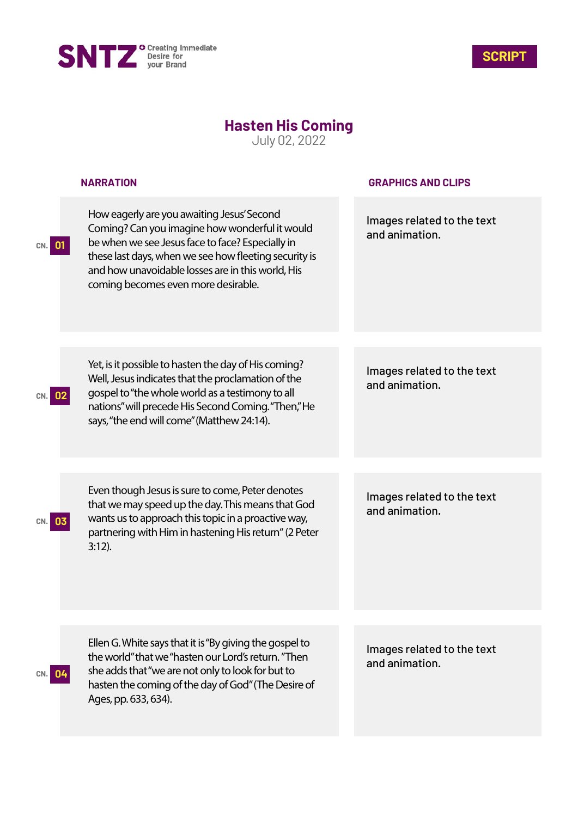



## **Hasten His Coming**

July 02, 2022

|              | <b>NARRATION</b>                                                                                                                                                                                                                                                                                      | <b>GRAPHICS AND CLIPS</b>                    |
|--------------|-------------------------------------------------------------------------------------------------------------------------------------------------------------------------------------------------------------------------------------------------------------------------------------------------------|----------------------------------------------|
| -01<br>CN. I | How eagerly are you awaiting Jesus' Second<br>Coming? Can you imagine how wonderful it would<br>be when we see Jesus face to face? Especially in<br>these last days, when we see how fleeting security is<br>and how unavoidable losses are in this world, His<br>coming becomes even more desirable. | Images related to the text<br>and animation. |
|              |                                                                                                                                                                                                                                                                                                       |                                              |
|              | Yet, is it possible to hasten the day of His coming?<br>Well, Jesus indicates that the proclamation of the<br>gospel to "the whole world as a testimony to all<br>nations" will precede His Second Coming. "Then," He<br>says, "the end will come" (Matthew 24:14).                                   | Images related to the text<br>and animation. |
|              |                                                                                                                                                                                                                                                                                                       |                                              |
|              | Even though Jesus is sure to come, Peter denotes<br>that we may speed up the day. This means that God<br>wants us to approach this topic in a proactive way,<br>partnering with Him in hastening His return" (2 Peter<br>$3:12$ ).                                                                    | Images related to the text<br>and animation. |
|              |                                                                                                                                                                                                                                                                                                       |                                              |
| CN. 04       | Ellen G. White says that it is "By giving the gospel to<br>the world" that we "hasten our Lord's return. "Then<br>she adds that "we are not only to look for but to<br>hasten the coming of the day of God" (The Desire of<br>Ages, pp. 633, 634).                                                    | Images related to the text<br>and animation. |